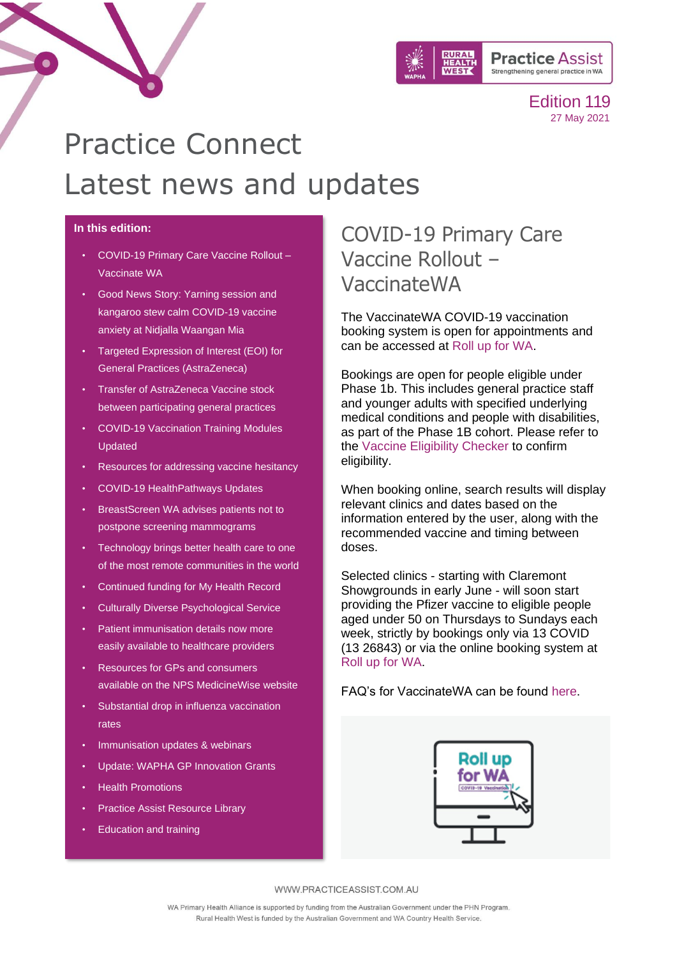

# Practice Connect Latest news and updates

#### **In this edition:**

 $\bullet$ 

- [COVID-19 Primary Care Vaccine Rollout –](#page-0-0) [Vaccinate WA](#page-0-0)
- [Good News Story: Yarning session and](#page-1-0)  [kangaroo stew calm COVID-19 vaccine](#page-1-0)  [anxiety at Nidjalla Waangan Mia](#page-1-0)
- [Targeted Expression of Interest \(EOI\) for](#page-2-0)  [General Practices \(AstraZeneca\)](#page-2-0)
- [Transfer of AstraZeneca Vaccine stock](#page-2-1)  [between participating general practices](#page-2-1)
- [COVID-19 Vaccination Training Modules](#page-2-2)  [Updated](#page-2-2)
- [Resources for addressing vaccine hesitancy](#page-3-0)
- [COVID-19 HealthPathways Updates](#page-3-1)
- [BreastScreen WA advises patients not to](#page-4-0)  [postpone screening mammograms](#page-4-0)
- [Technology brings better health care to one](#page-5-0)  [of the most remote communities in the world](#page-5-0)
- Continued funding for My Health Record
- [Culturally Diverse Psychological Service](#page-4-1)
- [Patient immunisation details now more](#page-6-0)  [easily available to healthcare providers](#page-6-0)
- [Resources for GPs and consumers](#page-6-1)  [available on the NPS MedicineWise website](#page-6-1)
- [Substantial drop in influenza vaccination](#page-7-0)  [rates](#page-7-0)
- [Immunisation updates & webinars](#page-7-1)
- [Update: WAPHA GP Innovation](#page-9-0) Grants
- [Health Promotions](#page-10-0)
- [Practice Assist Resource Library](#page-11-0)
- [Education and training](#page-12-0)

# <span id="page-0-0"></span>COVID-19 Primary Care Vaccine Rollout – VaccinateWA

The VaccinateWA COVID-19 vaccination booking system is open for appointments and can be accessed at [Roll up for WA.](http://www.rollup.wa.gov.au/)

Bookings are open for people eligible under Phase 1b. This includes general practice staff and younger adults with specified underlying medical conditions and people with disabilities, as part of the Phase 1B cohort. Please refer to the [Vaccine Eligibility Checker](https://www.health.gov.au/resources/apps-and-tools/covid-19-vaccine-eligibility-checker) to confirm eligibility.

When booking online, search results will display relevant clinics and dates based on the information entered by the user, along with the recommended vaccine and timing between doses.

Selected clinics - starting with Claremont Showgrounds in early June - will soon start providing the Pfizer vaccine to eligible people aged under 50 on Thursdays to Sundays each week, strictly by bookings only via 13 COVID (13 26843) or via the online booking system at [Roll up for WA.](http://www.rollup.wa.gov.au/)

FAQ's for VaccinateWA can be found [here.](https://www.healthywa.wa.gov.au/Articles/A_E/Coronavirus/COVID19-vaccine/Online-booking-FAQs)

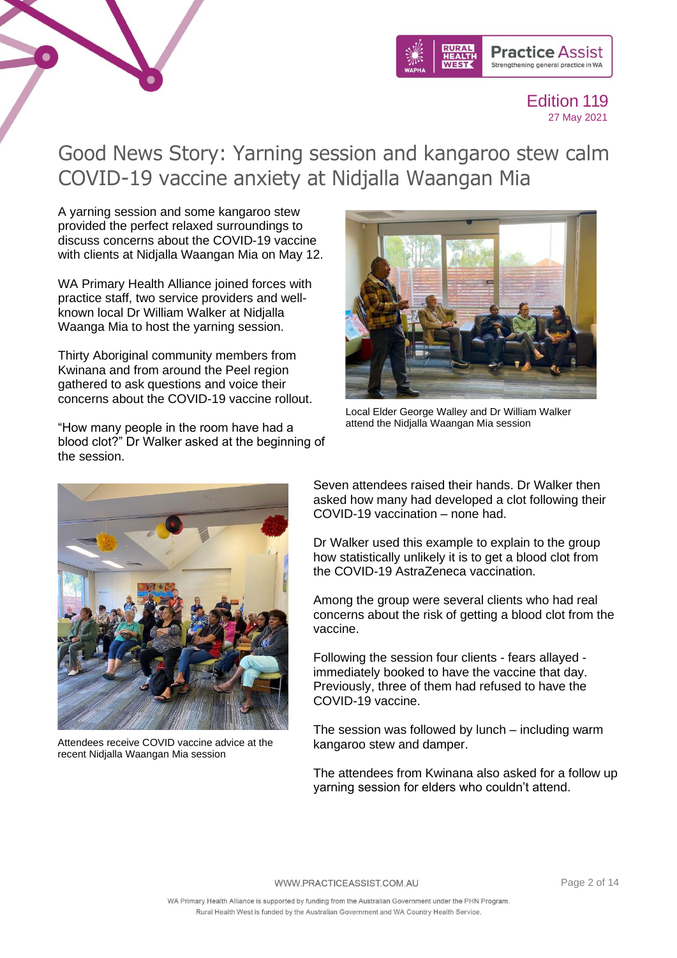



# <span id="page-1-0"></span>Good News Story: Yarning session and kangaroo stew calm COVID-19 vaccine anxiety at Nidjalla Waangan Mia

A yarning session and some kangaroo stew provided the perfect relaxed surroundings to discuss concerns about the COVID-19 vaccine with clients at Nidjalla Waangan Mia on May 12.

WA Primary Health Alliance joined forces with practice staff, two service providers and wellknown local Dr William Walker at Nidjalla Waanga Mia to host the yarning session.

Thirty Aboriginal community members from Kwinana and from around the Peel region gathered to ask questions and voice their concerns about the COVID-19 vaccine rollout.

"How many people in the room have had a blood clot?" Dr Walker asked at the beginning of the session.



Local Elder George Walley and Dr William Walker attend the Nidjalla Waangan Mia session



Attendees receive COVID vaccine advice at the recent Nidjalla Waangan Mia session

Seven attendees raised their hands. Dr Walker then asked how many had developed a clot following their COVID-19 vaccination – none had.

Dr Walker used this example to explain to the group how statistically unlikely it is to get a blood clot from the COVID-19 AstraZeneca vaccination.

Among the group were several clients who had real concerns about the risk of getting a blood clot from the vaccine.

Following the session four clients - fears allayed immediately booked to have the vaccine that day. Previously, three of them had refused to have the COVID-19 vaccine.

The session was followed by lunch – including warm kangaroo stew and damper.

The attendees from Kwinana also asked for a follow up yarning session for elders who couldn't attend.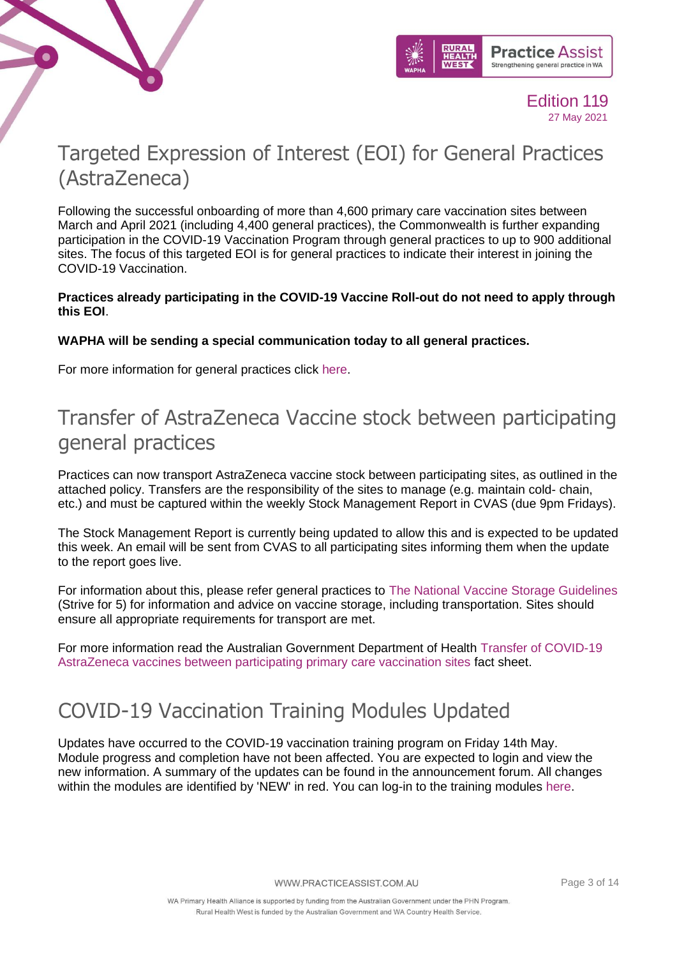



# <span id="page-2-0"></span>Targeted Expression of Interest (EOI) for General Practices (AstraZeneca)

Following the successful onboarding of more than 4,600 primary care vaccination sites between March and April 2021 (including 4,400 general practices), the Commonwealth is further expanding participation in the COVID-19 Vaccination Program through general practices to up to 900 additional sites. The focus of this targeted EOI is for general practices to indicate their interest in joining the COVID-19 Vaccination.

#### **Practices already participating in the COVID-19 Vaccine Roll-out do not need to apply through this EOI**.

### **WAPHA will be sending a special communication today to all general practices.**

For more information for general practices click [here.](https://www.practiceassist.com.au/Coronavirus-COVID19/Coronavirus-COVID19-Vaccine-Rollout-Information)

### <span id="page-2-1"></span>Transfer of AstraZeneca Vaccine stock between participating general practices

Practices can now transport AstraZeneca vaccine stock between participating sites, as outlined in the attached policy. Transfers are the responsibility of the sites to manage (e.g. maintain cold- chain, etc.) and must be captured within the weekly Stock Management Report in CVAS (due 9pm Fridays).

The Stock Management Report is currently being updated to allow this and is expected to be updated this week. An email will be sent from CVAS to all participating sites informing them when the update to the report goes live.

For information about this, please refer general practices to [The National Vaccine Storage](https://www.health.gov.au/resources/publications/national-vaccine-storage-guidelines-strive-for-5) [Guidelines](https://www.health.gov.au/resources/publications/national-vaccine-storage-guidelines-strive-for-5)  (Strive for 5) for information and advice on vaccine storage, including transportation. Sites should ensure all appropriate requirements for transport are met.

For more information read the Australian Government Department of Health [Transfer of COVID-19](https://www.practiceassist.com.au/PracticeAssist/media/Coronavirus-(COVID-19)/Transfer-of-AZ-between-sites-21-May-2021.pdf)  [AstraZeneca vaccines between participating primary care vaccination sites](https://www.practiceassist.com.au/PracticeAssist/media/Coronavirus-(COVID-19)/Transfer-of-AZ-between-sites-21-May-2021.pdf) fact sheet.

### <span id="page-2-2"></span>COVID-19 Vaccination Training Modules Updated

Updates have occurred to the COVID-19 vaccination training program on Friday 14th May. Module progress and completion have not been affected. You are expected to login and view the new information. A summary of the updates can be found in the announcement forum. All changes within the modules are identified by 'NEW' in red. You can log-in to the training modules [here.](https://covid19vaccinationtraining.org.au/login/index.php)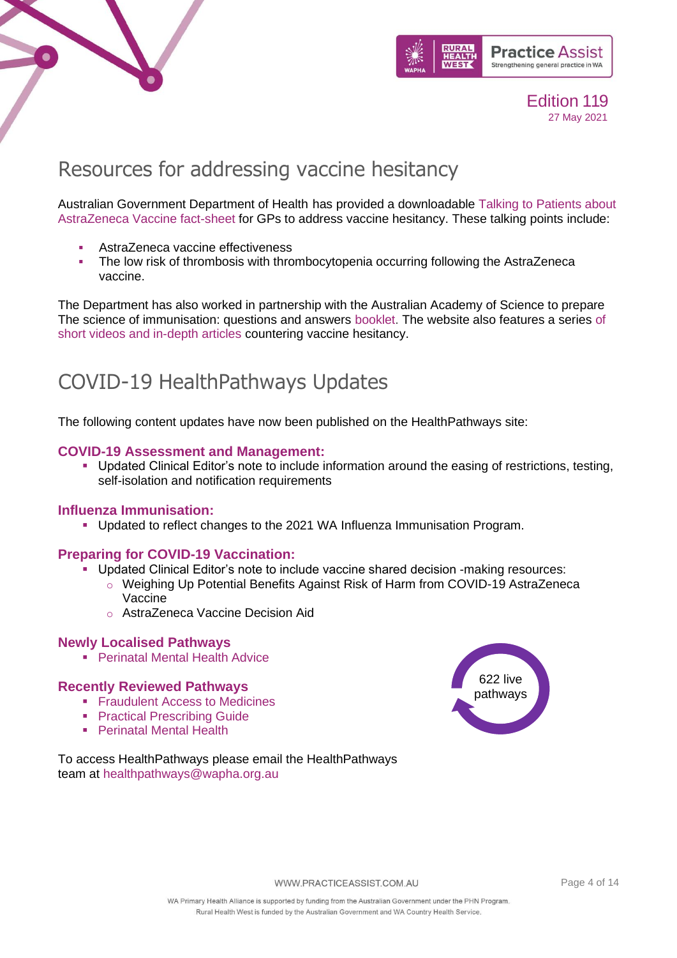



# <span id="page-3-0"></span>Resources for addressing vaccine hesitancy

Australian Government Department of Health has provided a downloadable [Talking to Patients about](https://www.health.gov.au/resources/publications/talking-to-patients-about-astrazeneca-vaccine)  [AstraZeneca Vaccine fact-sheet](https://www.health.gov.au/resources/publications/talking-to-patients-about-astrazeneca-vaccine) for GPs to address vaccine hesitancy. These talking points include:

- AstraZeneca vaccine effectiveness
- **The low risk of thrombosis with thrombocytopenia occurring following the AstraZeneca** vaccine.

The Department has also worked in partnership with the Australian Academy of Science to prepare The science of immunisation: questions and answers [booklet.](https://www.science.org.au/education/immunisation-climate-change-genetic-modification/science-immunisation#science-immunisation) The website also features a series of [short videos and in-depth articles](https://www.science.org.au/education/immunisation-climate-change-genetic-modification/science-immunisation#exploremore) countering vaccine hesitancy.

# <span id="page-3-1"></span>COVID-19 HealthPathways Updates

The following content updates have now been published on the HealthPathways site:

#### **[COVID-19 Assessment and Management](https://linkprotect.cudasvc.com/url?a=https%3a%2f%2fwapha.us11.list-manage.com%2ftrack%2fclick%3fu%3dc973db7b85e56f4c3d0eaacee%26id%3d274713238d%26e%3d02c79a9d9f&c=E,1,pM2ZLjKR0g841h9OVx0JSNGfrLaXTr8feMdJUTWpweZjnSr-McnpRZ8T4ZJDPmu8S9CEHxY9T9Y5Qx2W-hUJU2hGDk8s1Sh5XYARTvtTI2ev1s0rqpkE&typo=1)[:](https://linkprotect.cudasvc.com/url?a=https%3a%2f%2fwapha.us11.list-manage.com%2ftrack%2fclick%3fu%3dc973db7b85e56f4c3d0eaacee%26id%3dfce42e5898%26e%3d02c79a9d9f&c=E,1,-NgMFMKNpdC9ANVwXLKYuL8eTGgyLtl-JCDiranD8Qw_ygJGMo_xHSaTgu_rieTXploFatDnDtIOPt0IMOcBdrPeeDxQO4lyI0iP2BYEQAqM6g,,&typo=1)**

▪ Updated Clinical Editor's note to include information around the easing of restrictions, testing, self-isolation and notification requirements

#### **[Influenza Immunisation:](https://linkprotect.cudasvc.com/url?a=https%3a%2f%2fwapha.us11.list-manage.com%2ftrack%2fclick%3fu%3dc973db7b85e56f4c3d0eaacee%26id%3d20a97e752b%26e%3d02c79a9d9f&c=E,1,ob4O0BhjgOd6Oepy47ip9ticZjNq8mvJmFsl3ZDMkd9qhx3Ylp9NnHmwaCl9ZA9x-leSZvjQLMXUtsAUyTdyRFrN89r_rlGiff6sXvMmGaSNsmwt8buDd6N8&typo=1)**

▪ Updated to reflect changes to the 2021 WA Influenza Immunisation Program.

#### **[Preparing for COVID-19 Vaccination:](https://linkprotect.cudasvc.com/url?a=https%3a%2f%2fwapha.us11.list-manage.com%2ftrack%2fclick%3fu%3dc973db7b85e56f4c3d0eaacee%26id%3ddc3244dd4d%26e%3d02c79a9d9f&c=E,1,Cp0gUweF0eOmLg9T6irTkBdcFaxmt-afBvtrl-Nn4XnfuBKxelcqOCSC5Bs0wEsqnxcg85euudI8uMgv3h_gjbhA7GfCOUk2_vfKUfdYtbcsnIZaGd54t9vgzg,,&typo=1)**

- **Updated Clinical Editor's note to include vaccine shared decision -making resources:** 
	- o Weighing Up Potential Benefits Against Risk of Harm from COVID-19 AstraZeneca Vaccine
	- o AstraZeneca Vaccine Decision Aid

#### **Newly Localised Pathways**

■ [Perinatal Mental Health Advice](https://wa.communityhealthpathways.org/335271.htm)

#### **Recently Reviewed Pathways**

- **Example 1** [Fraudulent Access to Medicines](https://wa.communityhealthpathways.org/35451.htm)
- **[Practical Prescribing Guide](https://wa.communityhealthpathways.org/25286.htm)**
- [Perinatal Mental Health](https://wa.communityhealthpathways.org/24570.htm)



To access HealthPathways please email the HealthPathways team at [healthpathways@wapha.org.au](mailto:healthpathways@wapha.org.au)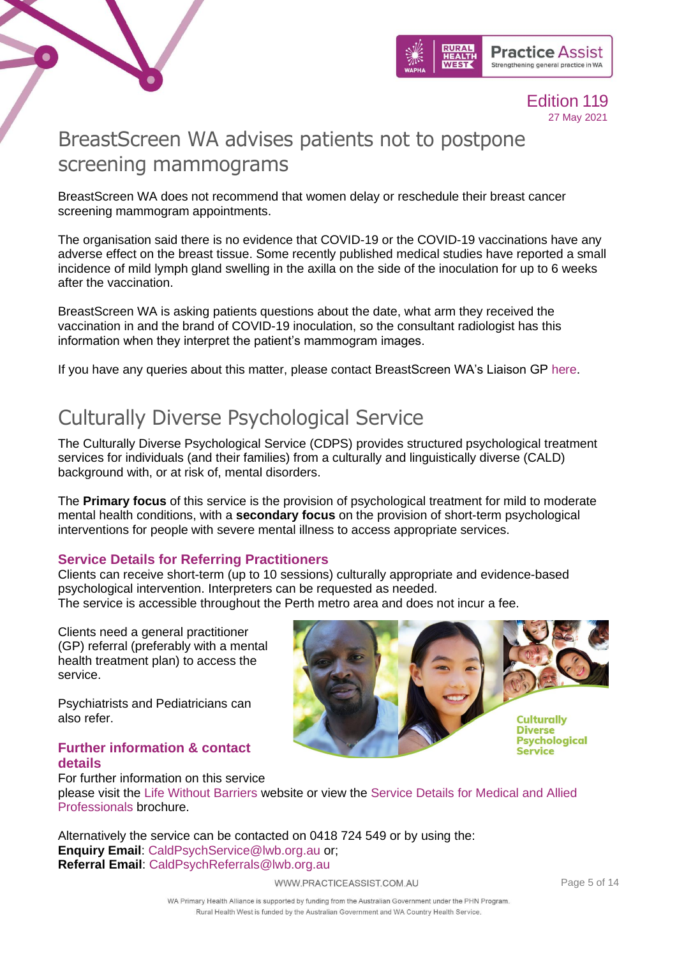



## <span id="page-4-0"></span>BreastScreen WA advises patients not to postpone screening mammograms

BreastScreen WA does not recommend that women delay or reschedule their breast cancer screening mammogram appointments.

The organisation said there is no evidence that COVID-19 or the COVID-19 vaccinations have any adverse effect on the breast tissue. Some recently published medical studies have reported a small incidence of mild lymph gland swelling in the axilla on the side of the inoculation for up to 6 weeks after the vaccination.

BreastScreen WA is asking patients questions about the date, what arm they received the vaccination in and the brand of COVID-19 inoculation, so the consultant radiologist has this information when they interpret the patient's mammogram images.

If you have any queries about this matter, please contact BreastScreen WA's Liaison GP [here.](mailto:eric.khong@health.wa.gov.au)

### <span id="page-4-1"></span>Culturally Diverse Psychological Service

The Culturally Diverse Psychological Service (CDPS) provides structured psychological treatment services for individuals (and their families) from a culturally and linguistically diverse (CALD) background with, or at risk of, mental disorders.

The **Primary focus** of this service is the provision of psychological treatment for mild to moderate mental health conditions, with a **secondary focus** on the provision of short-term psychological interventions for people with severe mental illness to access appropriate services.

### **Service Details for Referring Practitioners**

Clients can receive short-term (up to 10 sessions) culturally appropriate and evidence-based psychological intervention. Interpreters can be requested as needed. The service is accessible throughout the Perth metro area and does not incur a fee.

Clients need a general practitioner (GP) referral (preferably with a mental health treatment plan) to access the service.

Psychiatrists and Pediatricians can also refer.

### **Further information & contact details**

For further information on this service



please visit the [Life Without Barriers](https://www.lwb.org.au/services/mental-health/culturally-diverse-psychological-service/) website or view the [Service Details for Medical and Allied](https://www.practiceassist.com.au/PracticeAssist/media/Practice-Connect/Culturally-Diverse-Psychological-Service-Brochure-Medical-professional-Dec-2020.pdf)  [Professionals](https://www.practiceassist.com.au/PracticeAssist/media/Practice-Connect/Culturally-Diverse-Psychological-Service-Brochure-Medical-professional-Dec-2020.pdf) brochure.

Alternatively the service can be contacted on 0418 724 549 or by using the: **Enquiry Email**: [CaldPsychService@lwb.org.au](mailto:CaldPsychService@lwb.org.au) or; **Referral Email**: [CaldPsychReferrals@lwb.org.au](mailto:CaldPsychReferrals@lwb.org.au)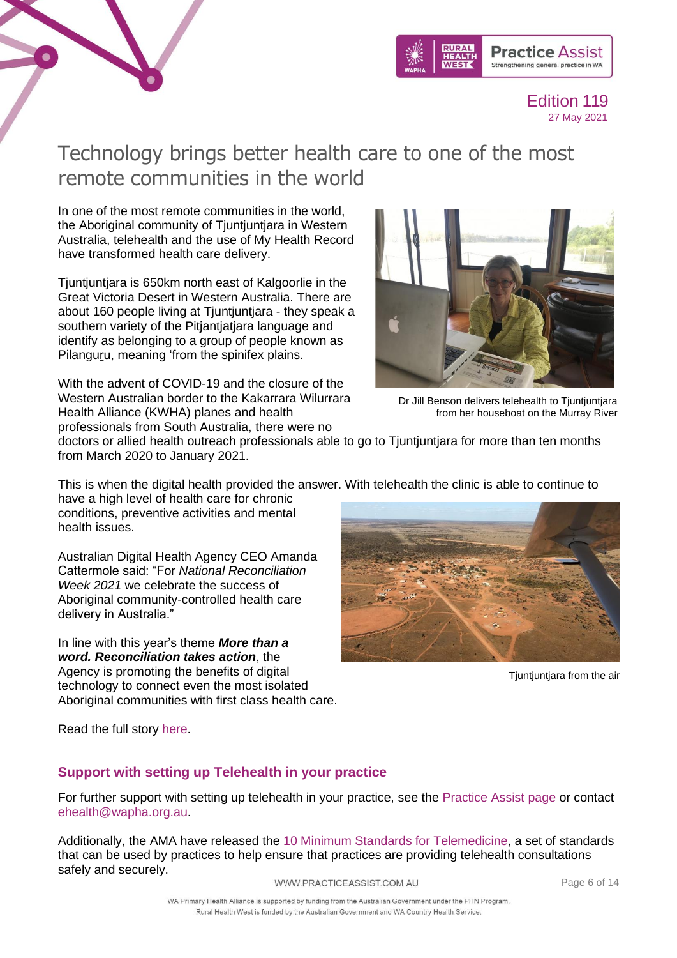



### Technology brings better health care to one of the most remote communities in the world

In one of the most remote communities in the world, the Aboriginal community of Tjuntjuntjara in Western Australia, telehealth and the use of My Health Record have transformed health care delivery.

<span id="page-5-0"></span>Tjuntjuntjara is 650km north east of Kalgoorlie in the Great Victoria Desert in Western Australia. There are about 160 people living at Tjuntjuntjara - they speak a southern variety of the Pitjantjatjara language and identify as belonging to a group of people known as Pilanguru, meaning 'from the spinifex plains.

With the advent of COVID-19 and the closure of the Western Australian border to the Kakarrara Wilurrara Health Alliance (KWHA) planes and health professionals from South Australia, there were no



Dr Jill Benson delivers telehealth to Tjuntjuntjara from her houseboat on the Murray River

doctors or allied health outreach professionals able to go to Tjuntjuntjara for more than ten months from March 2020 to January 2021.

This is when the digital health provided the answer. With telehealth the clinic is able to continue to

have a high level of health care for chronic conditions, preventive activities and mental health issues.

Australian Digital Health Agency CEO Amanda Cattermole said: "For *National Reconciliation Week 2021* we celebrate the success of Aboriginal community-controlled health care delivery in Australia."

In line with this year's theme *More than a word. Reconciliation takes action*, the Agency is promoting the benefits of digital technology to connect even the most isolated Aboriginal communities with first class health care.



Tjuntjuntjara from the air

Read the full story [here.](https://www.digitalhealth.gov.au/newsroom/media-releases/recent-media-releases/technology-brings-better-health-care-to-one-of-the-most-remote-communities-in-the-world)

### **Support with setting up Telehealth in your practice**

For further support with setting up telehealth in your practice, see the [Practice Assist page](https://www.practiceassist.com.au/Coronavirus-COVID19/COVID-19-Telehealth-Information) or contact [ehealth@wapha.org.au.](mailto:ehealth@wapha.org.au)

Additionally, the AMA have released the [10 Minimum Standards for Telemedicine,](https://www.practiceassist.com.au/PracticeAssist/media/Practice-Connect/10-Minimum-Standards-for-Telemedicine.pdf) a set of standards that can be used by practices to help ensure that practices are providing telehealth consultations safely and securely.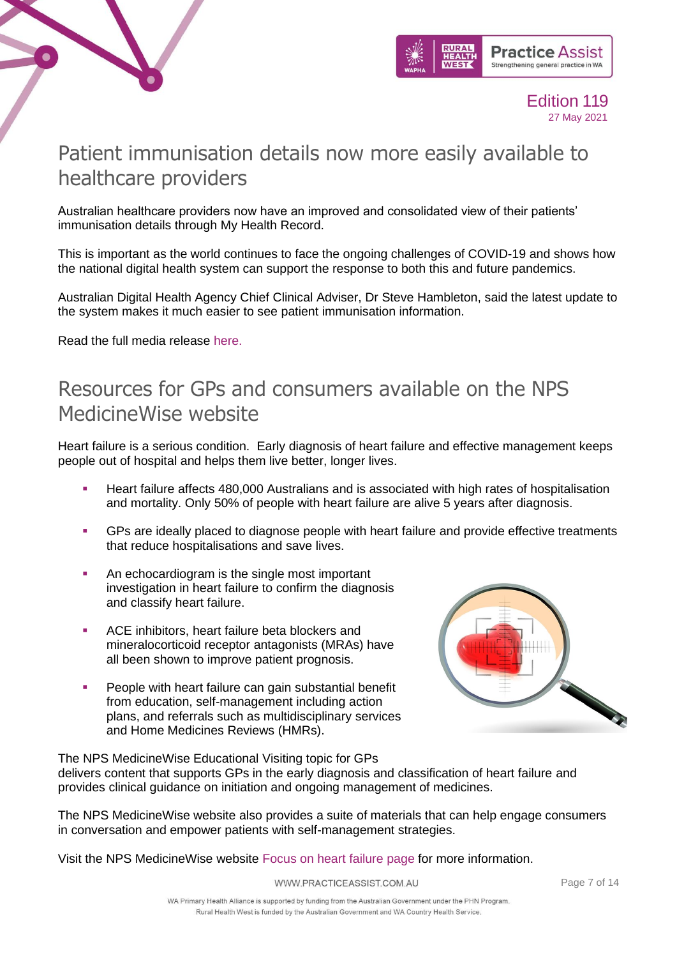



### <span id="page-6-0"></span>Patient immunisation details now more easily available to healthcare providers

Australian healthcare providers now have an improved and consolidated view of their patients' immunisation details through My Health Record.

This is important as the world continues to face the ongoing challenges of COVID-19 and shows how the national digital health system can support the response to both this and future pandemics.

Australian Digital Health Agency Chief Clinical Adviser, Dr Steve Hambleton, said the latest update to the system makes it much easier to see patient immunisation information.

Read the full media release [here.](https://www.practiceassist.com.au/PracticeAssist/media/Practice-Connect/133Y1810.pdf)

### <span id="page-6-1"></span>Resources for GPs and consumers available on the NPS MedicineWise website

Heart failure is a serious condition. Early diagnosis of heart failure and effective management keeps people out of hospital and helps them live better, longer lives.

- Heart failure affects 480,000 Australians and is associated with high rates of hospitalisation and mortality. Only 50% of people with heart failure are alive 5 years after diagnosis.
- **•** GPs are ideally placed to diagnose people with heart failure and provide effective treatments that reduce hospitalisations and save lives.
- An echocardiogram is the single most important investigation in heart failure to confirm the diagnosis and classify heart failure.
- ACE inhibitors, heart failure beta blockers and mineralocorticoid receptor antagonists (MRAs) have all been shown to improve patient prognosis.
- **•** People with heart failure can gain substantial benefit from education, self-management including action plans, and referrals such as multidisciplinary services and Home Medicines Reviews (HMRs).



The NPS MedicineWise Educational Visiting topic for GPs delivers content that supports GPs in the early diagnosis and classification of heart failure and provides clinical guidance on initiation and ongoing management of medicines.

The NPS MedicineWise website also provides a suite of materials that can help engage consumers in conversation and empower patients with self-management strategies.

Visit the NPS MedicineWise website [Focus on heart failure page](https://www.nps.org.au/professionals/heart-failure-taking-an-active-role) for more information.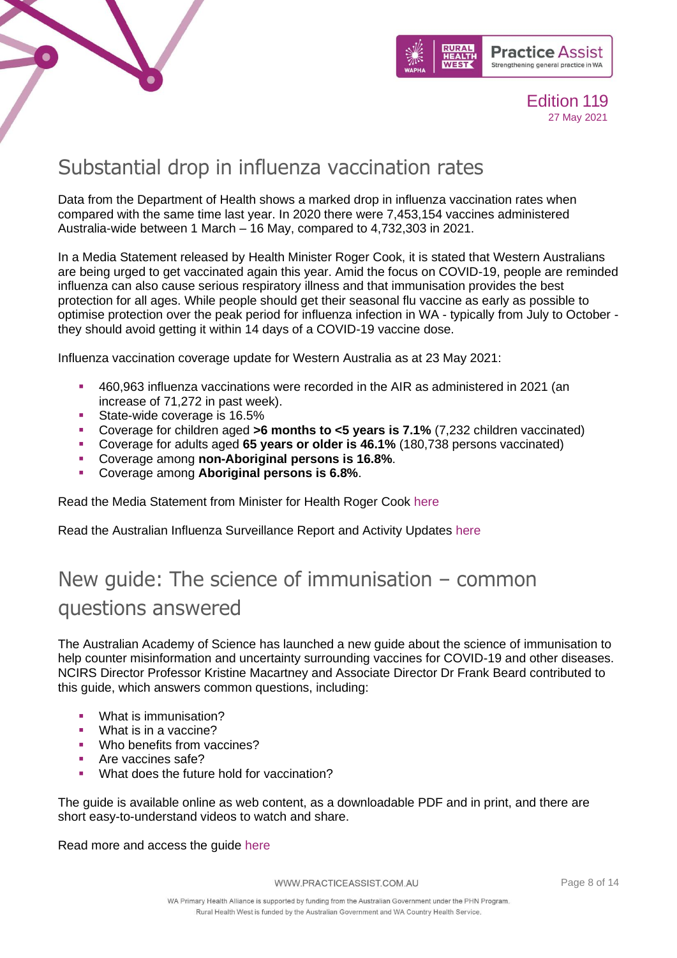



### <span id="page-7-0"></span>Substantial drop in influenza vaccination rates

Data from the Department of Health shows a marked drop in influenza vaccination rates when compared with the same time last year. In 2020 there were 7,453,154 vaccines administered Australia-wide between 1 March – 16 May, compared to 4,732,303 in 2021.

In a Media Statement released by Health Minister Roger Cook, it is stated that Western Australians are being urged to get vaccinated again this year. Amid the focus on COVID-19, people are reminded influenza can also cause serious respiratory illness and that immunisation provides the best protection for all ages. While people should get their seasonal flu vaccine as early as possible to optimise protection over the peak period for influenza infection in WA - typically from July to October they should avoid getting it within 14 days of a COVID-19 vaccine dose.

Influenza vaccination coverage update for Western Australia as at 23 May 2021:

- 460,963 influenza vaccinations were recorded in the AIR as administered in 2021 (an increase of 71,272 in past week).
- **EXECUTE:** State-wide coverage is 16.5%
- Coverage for children aged **>6 months to <5 years is 7.1%** (7,232 children vaccinated)
- Coverage for adults aged **65 years or older is 46.1%** (180,738 persons vaccinated)
- Coverage among **non-Aboriginal persons is 16.8%**.
- Coverage among **Aboriginal persons is 6.8%**.

Read the Media Statement from Minister for Health Roger Cook [here](https://www.mediastatements.wa.gov.au/Pages/McGowan/2021/05/Western-Australians-urged-to-get-influenza-jab.aspx)

Read the Australian Influenza Surveillance Report and Activity Updates [here](https://www1.health.gov.au/internet/main/publishing.nsf/Content/cda-surveil-ozflu-flucurr.htm)

# <span id="page-7-1"></span>New guide: The science of immunisation – common questions answered

The Australian Academy of Science has launched a new guide about the science of immunisation to help counter misinformation and uncertainty surrounding vaccines for COVID-19 and other diseases. NCIRS Director Professor Kristine Macartney and Associate Director Dr Frank Beard contributed to this guide, which answers common questions, including:

- What is immunisation?
- What is in a vaccine?
- Who benefits from vaccines?
- Are vaccines safe?
- What does the future hold for vaccination?

The guide is available online as web content, as a downloadable PDF and in print, and there are short easy-to-understand videos to watch and share.

Read more and access the guide [here](https://www.science.org.au/news-and-events/news-and-media-releases/science-immunisation-common-questions-answered)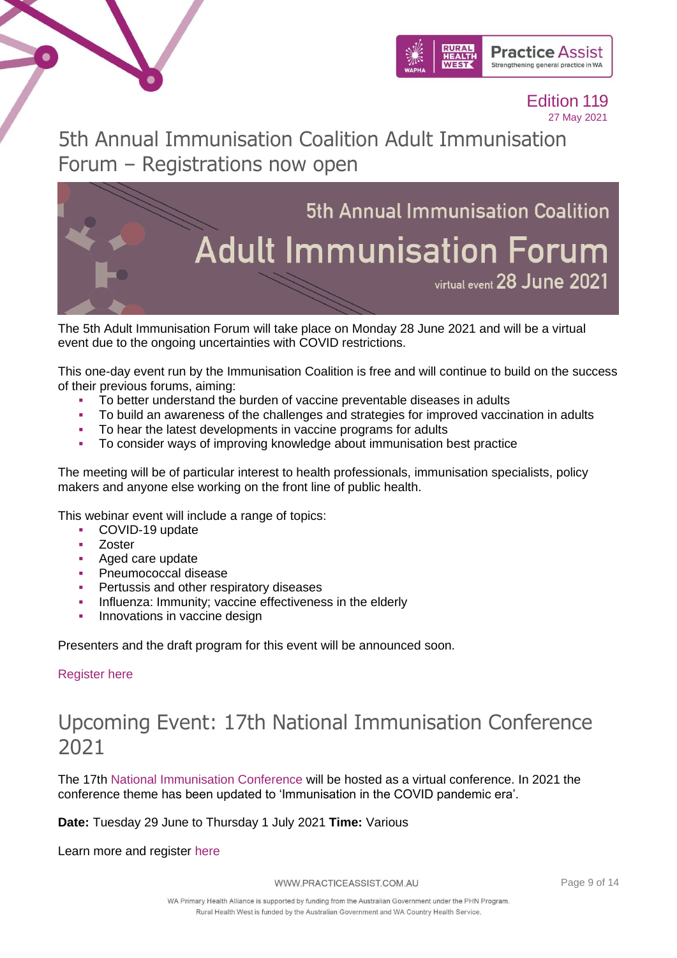



5th Annual Immunisation Coalition Adult Immunisation Forum – Registrations now open



The 5th Adult Immunisation Forum will take place on Monday 28 June 2021 and will be a virtual event due to the ongoing uncertainties with COVID restrictions.

This one-day event run by the Immunisation Coalition is free and will continue to build on the success of their previous forums, aiming:

- To better understand the burden of vaccine preventable diseases in adults
- To build an awareness of the challenges and strategies for improved vaccination in adults
- To hear the latest developments in vaccine programs for adults
- To consider ways of improving knowledge about immunisation best practice

The meeting will be of particular interest to health professionals, immunisation specialists, policy makers and anyone else working on the front line of public health.

This webinar event will include a range of topics:

- COVID-19 update
- Zoster
- Aged care update
- **•** Pneumococcal disease
- Pertussis and other respiratory diseases
- **·** Influenza: Immunity; vaccine effectiveness in the elderly
- **•** Innovations in vaccine design

Presenters and the draft program for this event will be announced soon.

#### [Register here](https://us02web.zoom.us/webinar/register/8716207146762/WN_0QU3PsqIRN-rZ2wJM4GFBw)

### Upcoming Event: 17th National Immunisation Conference 2021

The 17th [National Immunisation Conference](https://linkprotect.cudasvc.com/url?a=https%3a%2f%2fncirs.cmail20.com%2ft%2ft-l-mhujkjk-ejtjjtdtk-yu%2f&c=E,1,vuf9ZrhBk9VHg8C5Kn8IvWkMV58U5U8VVBAWs2socxgIivxVbfExvhE0fxZCgON9gPPRsK6Juk1Z3L6bv-qwgp46Kh2_dIQrHraogqBBdA,,&typo=1) will be hosted as a virtual conference. In 2021 the conference theme has been updated to 'Immunisation in the COVID pandemic era'.

**Date:** Tuesday 29 June to Thursday 1 July 2021 **Time:** Various

Learn more and register [here](https://www.nic2021.com/registration)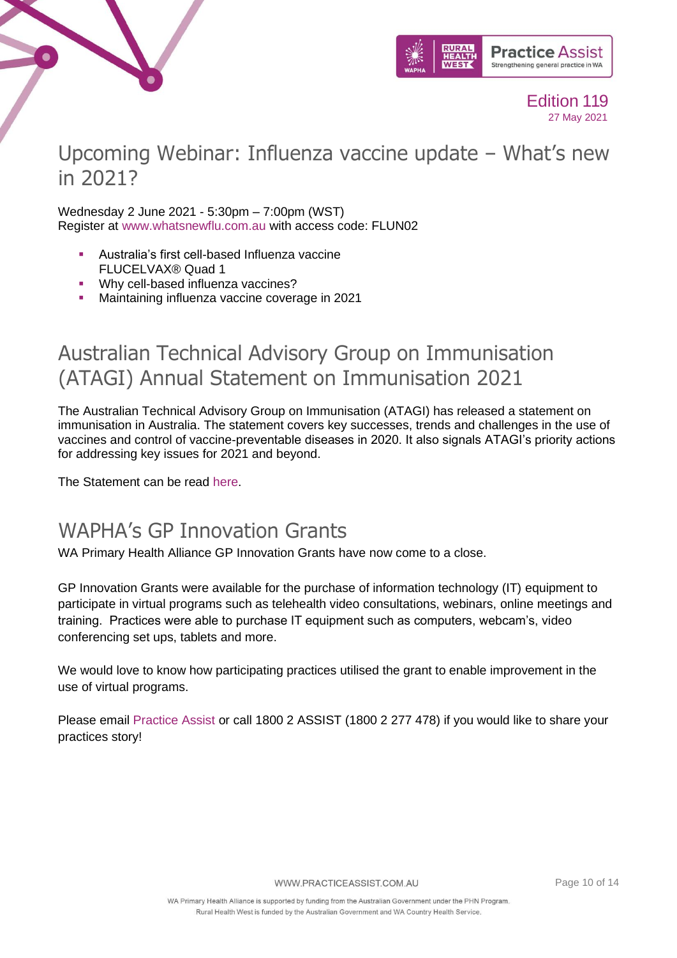



### Upcoming Webinar: Influenza vaccine update – What's new in 2021?

Wednesday 2 June 2021 - 5:30pm – 7:00pm (WST) Register at [www.whatsnewflu.com.au](https://linkprotect.cudasvc.com/url?a=https%3a%2f%2fapna.cmail20.com%2ft%2fr-l-tlijudc-huzhughr-y%2f&c=E,1,bzKb7VVWUfVNlqkEiAGu8wEn_st8_wAdCkH3sOAluP1bQZwla6VO99LKc5s_4gAUT5fCNyZJ4H_bC5MUQ5qAEiI3TwYk6VLFyUi0PRENhsA,&typo=1) with access code: FLUN02

- Australia's first cell-based Influenza vaccine FLUCELVAX® Quad 1
- **Why cell-based influenza vaccines?**
- Maintaining influenza vaccine coverage in 2021

### Australian Technical Advisory Group on Immunisation (ATAGI) Annual Statement on Immunisation 2021

The Australian Technical Advisory Group on Immunisation (ATAGI) has released a statement on immunisation in Australia. The statement covers key successes, trends and challenges in the use of vaccines and control of vaccine-preventable diseases in 2020. It also signals ATAGI's priority actions for addressing key issues for 2021 and beyond.

The Statement can be read [here.](https://www.health.gov.au/resources/publications/australian-technical-advisory-group-on-immunisation-atagi-annual-statement-on-immunisation-2021)

### <span id="page-9-0"></span>WAPHA's GP Innovation Grants

WA Primary Health Alliance GP Innovation Grants have now come to a close.

GP Innovation Grants were available for the purchase of information technology (IT) equipment to participate in virtual programs such as telehealth video consultations, webinars, online meetings and training. Practices were able to purchase IT equipment such as computers, webcam's, video conferencing set ups, tablets and more.

We would love to know how participating practices utilised the grant to enable improvement in the use of virtual programs.

Please email [Practice Assist](mailto:practiceassist@wapha.org.au) or call 1800 2 ASSIST (1800 2 277 478) if you would like to share your practices story!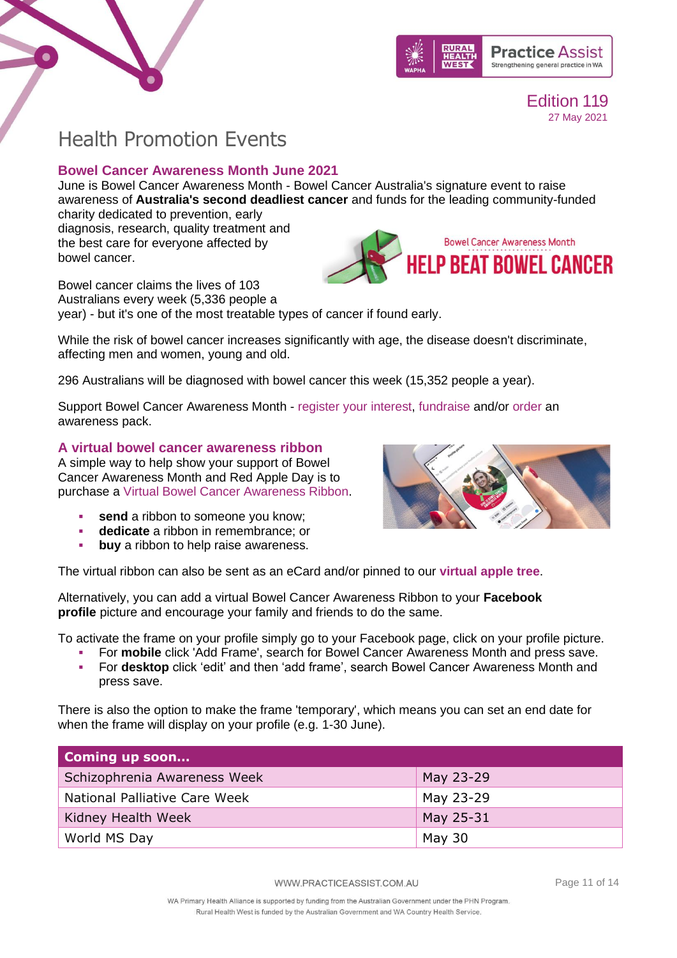



### <span id="page-10-0"></span>Health Promotion Events

### **Bowel Cancer Awareness Month June 2021**

June is Bowel Cancer Awareness Month - Bowel Cancer Australia's signature event to raise awareness of **Australia's second deadliest cancer** and funds for the leading community-funded charity dedicated to prevention, early

diagnosis, research, quality treatment and the best care for everyone affected by bowel cancer.



Bowel cancer claims the lives of 103 Australians every week (5,336 people a year) - but it's one of the most treatable types of cancer if found early.

While the risk of bowel cancer increases significantly with age, the disease doesn't discriminate, affecting men and women, young and old.

296 Australians will be diagnosed with bowel cancer this week (15,352 people a year).

Support Bowel Cancer Awareness Month - [register your interest,](https://www.bowelcanceraustralia.org/bowel-cancer-awareness-month#form) [fundraise](https://bowelcancerawarenessmonth.gofundraise.com.au/) and/or [order](https://shop.bowelcanceraustralia.org/collections/bowel-cancer-awareness-month-resources) an awareness pack.

#### **A virtual bowel cancer awareness ribbon**

A simple way to help show your support of Bowel Cancer Awareness Month and Red Apple Day is to purchase a [Virtual Bowel Cancer Awareness Ribbon.](https://www.virtualbowelcancerribbon.org/)

- **send** a ribbon to someone you know;
- **dedicate** a ribbon in remembrance; or
- **buy** a ribbon to help raise awareness.



The virtual ribbon can also be sent as an eCard and/or pinned to our **[virtual apple tree](https://www.virtualbowelcancerribbon.org/cms/apple-tree)**.

Alternatively, you can add a virtual Bowel Cancer Awareness Ribbon to your **Facebook profile** picture and encourage your family and friends to do the same.

To activate the frame on your profile simply go to your Facebook page, click on your profile picture.

- For **mobile** click 'Add Frame', search for Bowel Cancer Awareness Month and press save.
- For **desktop** click 'edit' and then 'add frame', search Bowel Cancer Awareness Month and press save.

There is also the option to make the frame 'temporary', which means you can set an end date for when the frame will display on your profile (e.g. 1-30 June).

| Coming up soon                |           |
|-------------------------------|-----------|
| Schizophrenia Awareness Week  | May 23-29 |
| National Palliative Care Week | May 23-29 |
| Kidney Health Week            | May 25-31 |
| World MS Day                  | May 30    |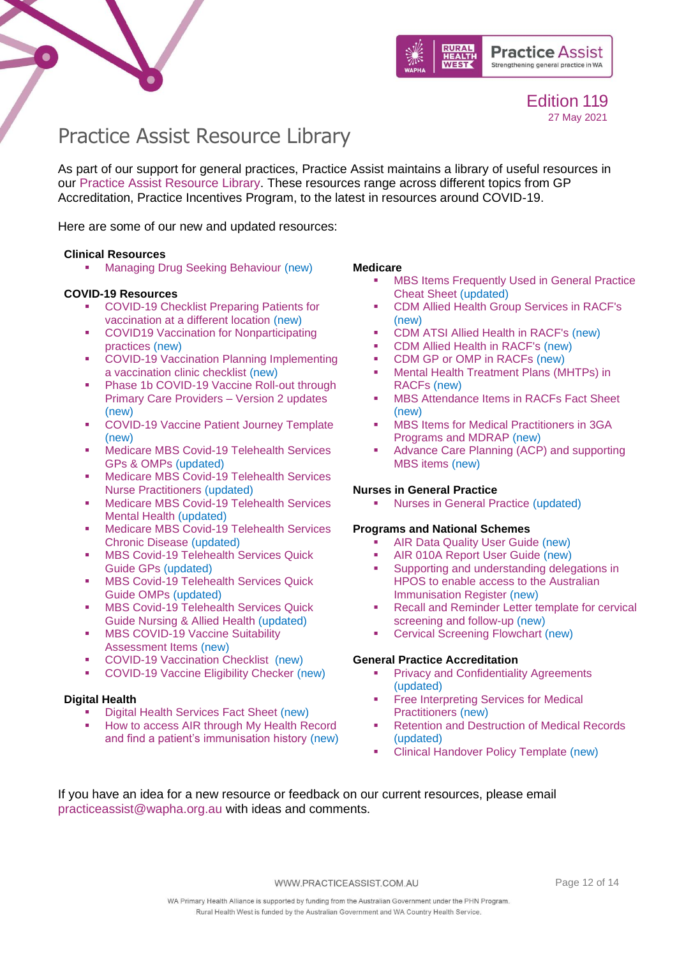



### <span id="page-11-0"></span>Practice Assist Resource Library

As part of our support for general practices, Practice Assist maintains a library of useful resources in our [Practice Assist Resource Library.](https://www.practiceassist.com.au/Resource-Library) These resources range across different topics from GP Accreditation, Practice Incentives Program, to the latest in resources around COVID-19.

Here are some of our new and updated resources:

#### **Clinical Resources**

**■** [Managing Drug Seeking Behaviour](https://www.practiceassist.com.au/PracticeAssist/media/ResourceLibrary/Clinical%20Resources/Managing-Drug-Seeking-Behaviour-Fact-Sheet-V2-201201.pdf) (new)

#### **COVID-19 Resources**

- COVID-19 Checklist Preparing Patients for [vaccination at a different location](https://www.practiceassist.com.au/PracticeAssist/media/ResourceLibrary/210326-WA-COVID-19-Checklist-Preparing-patients-for-vaccination-at-a-different-location.pdf) (new)
- COVID19 Vaccination for Nonparticipating [practices](https://www.practiceassist.com.au/PracticeAssist/media/ResourceLibrary/COVID19-Vaccination-for-Non-participating-practices-210325.pdf) (new)
- **COVID-19 Vaccination Planning Implementing** [a vaccination clinic checklist](https://www.practiceassist.com.au/PracticeAssist/media/Coronavirus-(COVID-19)/WA-COVID-19-Vaccination-Planning-Checklist-210323.pdf) (new)
- **Phase 1b COVID-19 Vaccine Roll-out through** [Primary Care Providers –](https://www.practiceassist.com.au/PracticeAssist/media/Coronavirus-(COVID-19)/210319_Phase-1B-COVID-19-Vaccine-Roll-out-through-Primary-Care-Providers_V2-Updates-List-(002).pdf) Version 2 updates (new)
- [COVID-19 Vaccine Patient Journey Template](https://www.practiceassist.com.au/PracticeAssist/media/ResourceLibrary/210325-COVID-19-Vaccine-Patient-Journey-Editable.pdf) (new)
- **Medicare MBS Covid-19 Telehealth Services** [GPs & OMPs](https://www.practiceassist.com.au/PracticeAssist/media/ResourceLibrary/210323-Medicare_MBS-COVID-19-Telehealth-Services-GPs-OMPs.pdf) (updated)
- **Medicare MBS Covid-19 Telehealth Services** [Nurse Practitioners](https://www.practiceassist.com.au/PracticeAssist/media/ResourceLibrary/210323-Medicare_MBS-COVID-19-Telehealth-Services-Nurse-Practitioners.pdf) (updated)
- Medicare MBS Covid-19 Telehealth Services [Mental Health](https://www.practiceassist.com.au/PracticeAssist/media/ResourceLibrary/210323-Medicare_MBS-COVID-19-Telehealth-Services-Mental-Health.pdf) (updated)
- **■** Medicare MBS Covid-19 Telehealth Services [Chronic Disease](https://www.practiceassist.com.au/PracticeAssist/media/ResourceLibrary/210323-Medicare_MBS-COVID-19-Telehealth-Services-Chronic-Disease.pdf) (updated)
- **MBS Covid-19 Telehealth Services Quick** [Guide GPs](https://www.practiceassist.com.au/PracticeAssist/media/ResourceLibrary/210323-Medicare_MBS-COVID-19-Telehealth-Services-Quick-Guide-GPs.pdf) (updated)
- **MBS Covid-19 Telehealth Services Quick** [Guide OMPs](https://www.practiceassist.com.au/PracticeAssist/media/ResourceLibrary/210323-Medicare_MBS-COVID-19-Telehealth-Services-Quick-Guide-OMPs.pdf) (updated)
- **MBS Covid-19 Telehealth Services Quick** [Guide Nursing & Allied Health](https://www.practiceassist.com.au/PracticeAssist/media/ResourceLibrary/210323-Medicare_MBS-COVID-19-Telehealth-Services-Quick-Guide-Nursing-Allied-Health.pdf) (updated)
- **MBS COVID-19 Vaccine Suitability** [Assessment Items](https://www.practiceassist.com.au/PracticeAssist/media/ResourceLibrary/MBS-COVID-19-Vaccine-suitability-Assessment-Service-Factsheet-210316.pdf) (new)
- [COVID-19 Vaccination Checklist](https://www.practiceassist.com.au/PracticeAssist/media/ResourceLibrary/WA-COVID-19-Vaccination-Checklist-210302.pdf) (new)
- [COVID-19 Vaccine Eligibility Checker](https://covid-vaccine.healthdirect.gov.au/eligibility) (new)

#### **Digital Health**

- **[Digital Health Services Fact Sheet](https://www.practiceassist.com.au/PracticeAssist/media/ResourceLibrary/Digital%20Health/Digital-Health-Services-Fact-Sheet-V1-210218.pdf) (new)**
- How to access AIR through My Health Record [and find a patient's immunisation history](https://www.practiceassist.com.au/PracticeAssist/media/ResourceLibrary/Digital%20Health/Accessing-AIR-through-MHR-Fact-Sheet-V2-210413.pdf) (new)

#### **Medicare**

- **MBS Items Frequently Used in General Practice** [Cheat Sheet](https://www.practiceassist.com.au/PracticeAssist/media/ResourceLibrary/Medicare%20Benefits%20Schedule/MBS-Items-Frequently-Used-in-General-Practice-Cheat-Sheet-V5-210114_1.pdf) (updated)
- [CDM Allied Health Group Services in RACF's](https://www.practiceassist.com.au/PracticeAssist/media/ResourceLibrary/Medicare%20Benefits%20Schedule/CDM-Allied-Health-Group-Services-in-RACFs-Fact-Sheet-V1-201222.pdf) (new)
- [CDM ATSI Allied Health in RACF's](https://www.practiceassist.com.au/PracticeAssist/media/ResourceLibrary/Medicare%20Benefits%20Schedule/CDM-ATSI-Allied-Health-in-RACFs-Fact-Sheet-V1-201222.pdf) (new)
- [CDM Allied Health in RACF's](https://www.practiceassist.com.au/PracticeAssist/media/ResourceLibrary/Medicare%20Benefits%20Schedule/CDM-Allied-Health-in-RACFs-Fact-Sheet-V1-201222.pdf) (new)
- [CDM GP or OMP in RACFs](https://www.practiceassist.com.au/PracticeAssist/media/ResourceLibrary/Medicare%20Benefits%20Schedule/CDM-GP-or-OMP-in-RACFs-Fact-Sheet-V1-201222.pdf) (new)<br>■ Mental Health Treatment Plans (M)
- Mental Health Treatment Plans (MHTPs) in [RACFs](https://www.practiceassist.com.au/PracticeAssist/media/ResourceLibrary/Medicare%20Benefits%20Schedule/MHTPs-in-RACFs-Fact-Sheet-V1-201222_1.pdf) (new)
- [MBS Attendance Items in RACFs Fact Sheet](https://www.practiceassist.com.au/PracticeAssist/media/ResourceLibrary/Medicare%20Benefits%20Schedule/MBS-Attendance-Items-in-RACFs-Fact-Sheet-210114.pdf) (new)
- **MBS Items for Medical Practitioners in 3GA** Programs [and MDRAP](https://www.practiceassist.com.au/PracticeAssist/media/ResourceLibrary/Medicare%20Benefits%20Schedule/MBS-Items-for-3GA-Programs-and-MDRAP-Fact-Sheet.pdf) (new)
- Advance Care Planning (ACP) and supporting [MBS items](https://www.practiceassist.com.au/PracticeAssist/media/ResourceLibrary/Medicare%20Benefits%20Schedule/Advance-Care-Planning-Fact-Sheet-V1-210514.pdf) (new)

#### **Nurses in General Practice**

**[Nurses in General Practice](https://www.practiceassist.com.au/PracticeAssist/media/ResourceLibrary/Nurses%20in%20general%20practice/Employing-a-Nurse-in-a-General-Practice-Fact-Sheet-V3-201201.pdf) (updated)** 

#### **Programs and National Schemes**

- **[AIR Data Quality User Guide](https://www.practiceassist.com.au/PracticeAssist/media/ResourceLibrary/Programs%20and%20National%20Schemes/AIR-Data-Quality-User-Guide-V1-0-Nov-20.pdf) (new)**
- [AIR 010A Report User Guide](https://www.practiceassist.com.au/PracticeAssist/media/ResourceLibrary/Programs%20and%20National%20Schemes/AIR-010A-Report-User-Guide-Nov-2020-V1-0.pdf) (new)
- Supporting and understanding delegations in [HPOS to enable access to the Australian](https://www.practiceassist.com.au/PracticeAssist/media/ResourceLibrary/Programs%20and%20National%20Schemes/HPOS-Supporting-providers_December-2020_Final_0.pdf)  [Immunisation Register](https://www.practiceassist.com.au/PracticeAssist/media/ResourceLibrary/Programs%20and%20National%20Schemes/HPOS-Supporting-providers_December-2020_Final_0.pdf) (new)
- Recall and Reminder Letter template for cervical [screening and follow-up](https://www.practiceassist.com.au/PracticeAssist/media/ResourceLibrary/Programs%20and%20National%20Schemes/200206-Recall-and-reminder-letter-templates-for-cervical-screening-and-follow-up-(January-2020).pdf) (new)
- **[Cervical Screening](https://www.practiceassist.com.au/PracticeAssist/media/ResourceLibrary/Programs%20and%20National%20Schemes/201201-Cervical-Screening-Pathway.pdf) Flowchart (new)**

#### **General Practice Accreditation**

- **[Privacy and Confidentiality Agreements](https://www.practiceassist.com.au/PracticeAssist/media/ResourceLibrary/General%20Practice%20Accreditation/Privacy-and-Confidentiality-Agreements-Fact-Sheet-V2-201109.pdf)** (updated)
- **Free Interpreting Services for Medical** [Practitioners](https://www.practiceassist.com.au/PracticeAssist/media/ResourceLibrary/General%20Practice%20Accreditation/Free-Interpreting-Services-for-Medical-Practitioners-Fact-Sheet-V1-201118.pdf) (new)
- **[Retention and Destruction of Medical Records](https://www.practiceassist.com.au/PracticeAssist/media/ResourceLibrary/General%20Practice%20Accreditation/Retention-and-Destruction-of-Medical-Records-Fact-Sheet-V2-201104.pdf)** (updated)
- **[Clinical Handover Policy Template](https://www.practiceassist.com.au/PracticeAssist/media/ResourceLibrary/General%20Practice%20Accreditation/Clinical-Handover-Policy-Template-V1-201118-Editable.pdf) (new)**

If you have an idea for a new resource or feedback on our current resources, please email [practiceassist@wapha.org.au](mailto:practiceassist@wapha.org.au) with ideas and comments.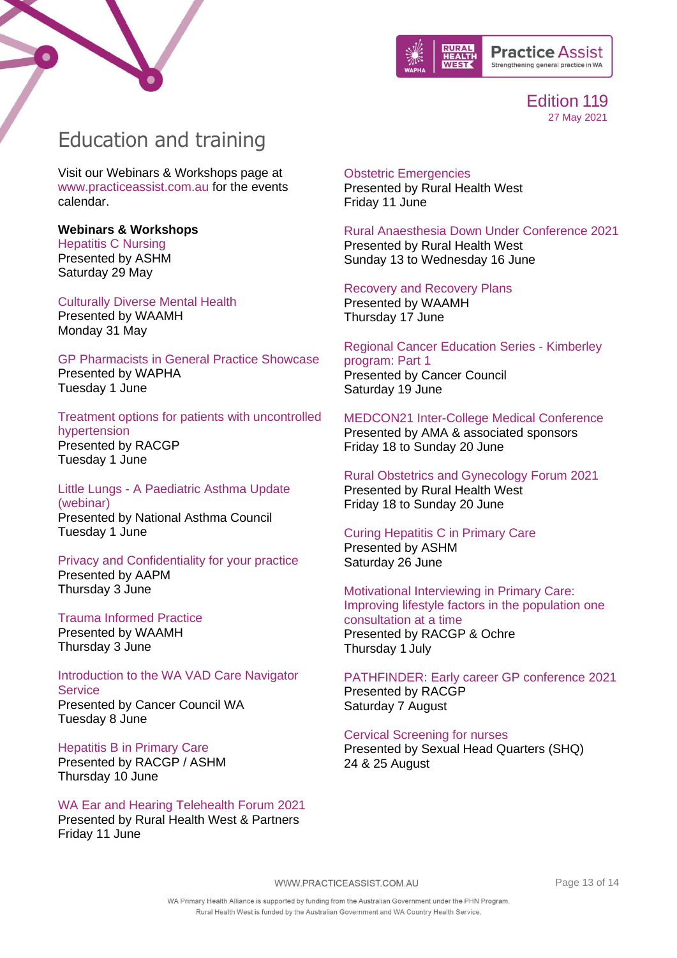



# <span id="page-12-0"></span>Education and training

Visit our Webinars & Workshops page at [www.practiceassist.com.au](http://www.practiceassist.com.au/) for the events calendar.

**Webinars & Workshops**  [Hepatitis C Nursing](https://file-us.clickdimensions.com/ashmorgau-apflc/files/flyer_hcvnursingcourse.pdf?1619049205161target=%E2%80%9D_blank%E2%80%9D) Presented by ASHM Saturday 29 May

[Culturally Diverse Mental Health](https://waamh.org.au/events-and-training/event?eventtemplate=18-culturally-diverse-mental-health&event=22) Presented by WAAMH Monday 31 May

[GP Pharmacists in General Practice Showcase](https://www.cognitoforms.com/WAPHA1/GPPharmacistsInGeneralPracticeShowcase) Presented by WAPHA Tuesday 1 June

[Treatment options for patients with uncontrolled](https://www.racgp.org.au/racgp-digital-events-calendar/online-event-items/webinars/treatment-options-for-patients-with-uncontrolled-h)  [hypertension](https://www.racgp.org.au/racgp-digital-events-calendar/online-event-items/webinars/treatment-options-for-patients-with-uncontrolled-h) Presented by RACGP Tuesday 1 June

Little Lungs - [A Paediatric Asthma Update](https://register.gotowebinar.com/register/7311513044349003279)  [\(webinar\)](https://register.gotowebinar.com/register/7311513044349003279) Presented by National Asthma Council Tuesday 1 June

[Privacy and Confidentiality for your practice](https://www.aapm.org.au/Education-and-Networking/Book-Event/SelectedEventId/2070) [Presented by AAPM](https://www.aapm.org.au/Education-and-Networking/Book-Event/SelectedEventId/2070) [Thursday 3 June](https://www.aapm.org.au/Education-and-Networking/Book-Event/SelectedEventId/2070)

[Trauma Informed Practice](https://waamh.arlo.co/waiting-list?sid=fe3135520df746459b2d85a84d20812a) Presented by WAAMH Thursday 3 June

[Introduction to the WA VAD Care Navigator](https://www.eventbrite.com.au/e/introduction-to-the-wa-vad-care-navigator-service-tickets-156029547577)  **[Service](https://www.eventbrite.com.au/e/introduction-to-the-wa-vad-care-navigator-service-tickets-156029547577)** [Presented by Cancer Council WA](https://www.eventbrite.com.au/e/introduction-to-the-wa-vad-care-navigator-service-tickets-156029547577) [Tuesday 8](https://www.eventbrite.com.au/e/introduction-to-the-wa-vad-care-navigator-service-tickets-156029547577) June

[Hepatitis B in Primary Care](https://www.racgp.org.au/racgp-digital-events-calendar/online-event-items/webinars/hepatitis-b-in-primary-care) Presented by RACGP / ASHM Thursday 10 June

[WA Ear and Hearing Telehealth Forum 2021](https://www.practiceassist.com.au/PracticeAssist/media/Practice-Connect/Ear-and-Hearing-Telehealth-Forum-flyer_WEB-EMAIL.pdf) [Presented by Rural Health West & Partners](https://www.practiceassist.com.au/PracticeAssist/media/Practice-Connect/Ear-and-Hearing-Telehealth-Forum-flyer_WEB-EMAIL.pdf) [Friday 11 June](https://www.practiceassist.com.au/PracticeAssist/media/Practice-Connect/Ear-and-Hearing-Telehealth-Forum-flyer_WEB-EMAIL.pdf)

[Obstetric Emergencies](https://www.ruralhealthwest.com.au/general-practice/professional-development/conferences-events/2021/06/11/default-calendar/obstetric-emergencies-(obs)---kalgoorlie) [Presented by Rural Health West](https://www.ruralhealthwest.com.au/general-practice/professional-development/conferences-events/2021/06/11/default-calendar/obstetric-emergencies-(obs)---kalgoorlie) [Friday 11 June](https://www.ruralhealthwest.com.au/general-practice/professional-development/conferences-events/2021/06/11/default-calendar/obstetric-emergencies-(obs)---kalgoorlie)

[Rural Anaesthesia Down Under Conference 2021](https://www.ruralhealthwest.com.au/general-practice/professional-development/conference/2021/06/13/default-calendar/rural-anaesthesia-down-under-conference-2021) [Presented by Rural Health West](https://www.ruralhealthwest.com.au/general-practice/professional-development/conference/2021/06/13/default-calendar/rural-anaesthesia-down-under-conference-2021) [Sunday 13 to Wednesday 16 June](https://www.ruralhealthwest.com.au/general-practice/professional-development/conference/2021/06/13/default-calendar/rural-anaesthesia-down-under-conference-2021)

[Recovery and Recovery Plans](https://waamh.org.au/events-and-training/event?eventtemplate=27-recovery-and-recovery-plans-online&event=34t)

Presented by WAAMH Thursday 17 June

[Regional Cancer Education Series -](https://www.eventbrite.com.au/e/regional-cancer-education-series-kimberley-program-part-1-7923-tickets-153430283107) Kimberley [program: Part 1](https://www.eventbrite.com.au/e/regional-cancer-education-series-kimberley-program-part-1-7923-tickets-153430283107) Presented by Cancer Council Saturday 19 June

[MEDCON21 Inter-College Medical Conference](https://eventandconfco.eventsair.com/medcon2021/registration/Site/Register) [Presented by AMA & associated sponsors](https://eventandconfco.eventsair.com/medcon2021/registration/Site/Register) [Friday 18 to Sunday 20 June](https://eventandconfco.eventsair.com/medcon2021/registration/Site/Register)

[Rural Obstetrics and Gynecology Forum 2021](https://ruralhealthwest.eventsair.com/gpo-forum-2021/) [Presented by Rural Health West](https://ruralhealthwest.eventsair.com/gpo-forum-2021/) [Friday 18 to Sunday 20 June](https://ruralhealthwest.eventsair.com/gpo-forum-2021/)

[Curing Hepatitis C in Primary Care](https://ashm.org.au/eventinforeg2/?id=6b2552a9-44a2-eb11-b1ac-002248150301) Presented by ASHM Saturday 26 June

[Motivational Interviewing in Primary Care:](https://www.racgp.org.au/racgp-digital-events-calendar/online-event-items/webinars/rural-health-webinar-series-motivational-interview)  [Improving lifestyle factors in the population one](https://www.racgp.org.au/racgp-digital-events-calendar/online-event-items/webinars/rural-health-webinar-series-motivational-interview)  [consultation at a time](https://www.racgp.org.au/racgp-digital-events-calendar/online-event-items/webinars/rural-health-webinar-series-motivational-interview) Presented by RACGP & Ochre Thursday 1 July

PATHFINDER: [Early career GP conference 2021](https://racgp.au1.qualtrics.com/jfe/form/SV_6KEemh74qpzMsmO) Presented by RACGP Saturday 7 August

[Cervical Screening for nurses](https://shq.org.au/course/certificate-nursing-cervical-screening-only/) Presented by Sexual Head Quarters (SHQ) 24 & 25 August